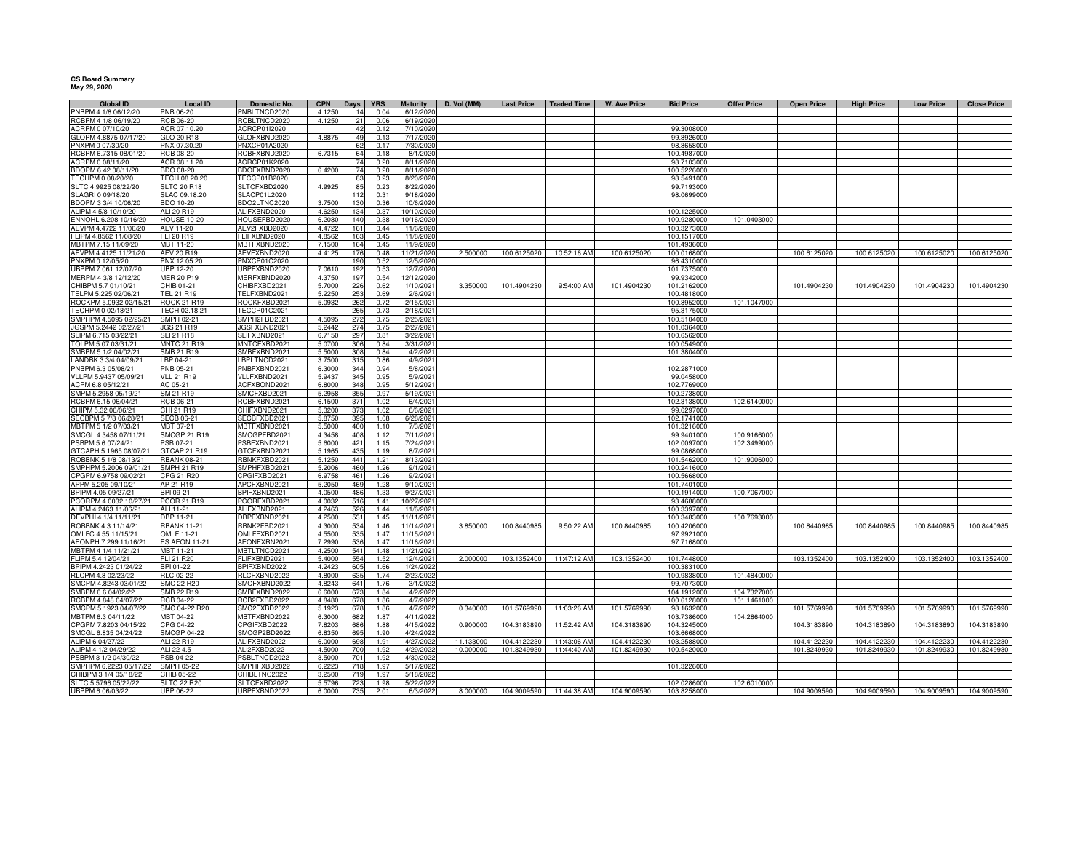## **CS Board Summary May 29, 2020**

| <b>Global ID</b>                             | <b>Local ID</b>                 | Domestic No.                 | <b>CPN</b>       | Days <b>YRS</b> |               | <b>Maturity</b>        | D. Vol (MM) | <b>Last Price</b> | <b>Traded Time</b> | W. Ave Price | <b>Bid Price</b>          | <b>Offer Price</b> | <b>Open Price</b> | <b>High Price</b> | <b>Low Price</b> | <b>Close Price</b> |
|----------------------------------------------|---------------------------------|------------------------------|------------------|-----------------|---------------|------------------------|-------------|-------------------|--------------------|--------------|---------------------------|--------------------|-------------------|-------------------|------------------|--------------------|
| PNBPM 4 1/8 06/12/20                         | PNB 06-20                       | PNBLTNCD2020                 | 4.1250           | 14              | 0.04          | 6/12/2020              |             |                   |                    |              |                           |                    |                   |                   |                  |                    |
| RCBPM 4 1/8 06/19/20                         | <b>RCB 06-20</b>                | RCBLTNCD2020                 | 4.1250           | 21              | 0.06          | 6/19/2020              |             |                   |                    |              |                           |                    |                   |                   |                  |                    |
| ACRPM 0 07/10/20                             | ACR 07.10.20                    | ACRCP01I2020                 |                  | 42              | 0.12          | 7/10/2020              |             |                   |                    |              | 99.3008000                |                    |                   |                   |                  |                    |
| GLOPM 4.8875 07/17/20                        | GLO 20 R18                      | GLOFXBND2020                 | 4.887            | 49              | 0.13          | 7/17/2020              |             |                   |                    |              | 99.8926000                |                    |                   |                   |                  |                    |
| PNXPM 0 07/30/20                             | PNX 07.30.20                    | PNXCP01A2020                 |                  | 62              | 0.17          | 7/30/2020              |             |                   |                    |              | 98.8658000                |                    |                   |                   |                  |                    |
| RCBPM 6.7315 08/01/20                        | <b>RCB 08-20</b>                | RCBFXBND2020                 | 6.731            | 64              | 0.18          | 8/1/2020               |             |                   |                    |              | 100.4987000               |                    |                   |                   |                  |                    |
| ACRPM 0 08/11/20                             | ACR 08.11.20                    | ACRCP01K2020                 |                  | 74              | 0.20          | 8/11/2020              |             |                   |                    |              | 98.7103000                |                    |                   |                   |                  |                    |
| BDOPM 6.42 08/11/20                          | <b>BDO 08-20</b>                | BDOFXBND2020                 | 6.420            | 74              | 0.20          | 8/11/2020              |             |                   |                    |              | 100.5226000               |                    |                   |                   |                  |                    |
| TECHPM 0 08/20/20                            | TECH 08.20.20                   | TECCP01B2020                 |                  | 83              | 0.23          | 8/20/2020              |             |                   |                    |              | 98.5491000                |                    |                   |                   |                  |                    |
| SLTC 4.9925 08/22/20                         | <b>SLTC 20 R18</b>              | SLTCFXBD2020                 | 4.9925           | 85              | 0.23          | 8/22/2020              |             |                   |                    |              | 99.7193000                |                    |                   |                   |                  |                    |
| SLAGRI 0 09/18/20                            | SLAC 09.18.20                   | SLACP01L2020                 |                  | 112             | 0.31          | 9/18/2020              |             |                   |                    |              | 98.0699000                |                    |                   |                   |                  |                    |
| BDOPM 3 3/4 10/06/20                         | BDO 10-20                       | BDO2LTNC2020                 | 3.7500           | 130             | 0.36          | 10/6/2020              |             |                   |                    |              |                           |                    |                   |                   |                  |                    |
| ALIPM 4 5/8 10/10/20                         | ALI 20 R19                      | ALIFXBND2020                 | 4.625            | 134             | 0.37          | 10/10/2020             |             |                   |                    |              | 100.1225000               |                    |                   |                   |                  |                    |
| ENNOHL 6.208 10/16/20                        | <b>HOUSE 10-20</b>              | HOUSEFBD2020                 | 6,2080           | 140             | 0.38          | 10/16/2020             |             |                   |                    |              | 100.9280000               | 101.0403000        |                   |                   |                  |                    |
| AEVPM 4.4722 11/06/20                        | <b>AEV 11-20</b>                | AEV2FXBD2020                 | 4.472            | 161             | 0.44          | 11/6/2020              |             |                   |                    |              | 100.3273000               |                    |                   |                   |                  |                    |
| FLIPM 4.8562 11/08/20                        | FLI 20 R19                      | <b>ELIFXBND2020</b>          | 4.856            | 163             | 0.45          | 11/8/2020              |             |                   |                    |              | 100.1517000               |                    |                   |                   |                  |                    |
| MBTPM 7.15 11/09/20                          | MBT 11-20                       | MBTFXBND2020                 | 7.150            | 164             | 0.45          | 11/9/2020              |             |                   |                    |              | 101.4936000               |                    |                   |                   |                  |                    |
| AEVPM 4.4125 11/21/20                        | <b>AEV 20 R19</b>               | AEVFXBND2020                 | 4.4125           | 176             | 0.48          | 11/21/2020             | 2.500000    | 100.6125020       | 10:52:16 AM        | 100.6125020  | 100.0168000               |                    | 100.6125020       | 100.6125020       | 100.6125020      | 100.6125020        |
| PNXPM 0 12/05/20                             | PNX 12.05.20                    | PNXCP01C2020                 |                  | 190             | 0.52          | 12/5/2020              |             |                   |                    |              | 96.4310000                |                    |                   |                   |                  |                    |
| UBPPM 7.061 12/07/20                         | <b>UBP 12-20</b>                | JBPFXBND2020                 | 7.061            | 192             | $0.5^{\circ}$ | 12/7/2020              |             |                   |                    |              | 101.7375000               |                    |                   |                   |                  |                    |
| MERPM 4 3/8 12/12/20                         | <b>MER 20 P19</b>               | MERFXBND2020                 | 4.375            | 197             | 0.54          | 12/12/2020             |             |                   |                    |              | 99.9342000                |                    |                   |                   |                  |                    |
| CHIBPM 5.7 01/10/21                          | CHIB 01-21                      | CHIBFXBD2021                 | 5.7000           | 226             | 0.62          | 1/10/2021              | 3.350000    | 101.4904230       | 9:54:00 AM         | 101.4904230  | 101.2162000               |                    | 101.4904230       | 101.4904230       | 101.4904230      | 101.4904230        |
| TELPM 5.225 02/06/21                         | TEL 21 R19                      | TELFXBND2021                 | 5.225            | 253             | 0.69          | 2/6/2021               |             |                   |                    |              | 100.4818000               |                    |                   |                   |                  |                    |
| ROCKPM 5.0932 02/15/21                       | ROCK 21 R19                     | ROCKFXBD2021                 | 5.0932           | 262             | 0.72          | 2/15/2021              |             |                   |                    |              | 100.8952000               | 101.1047000        |                   |                   |                  |                    |
| TECHPM 0 02/18/21                            | TECH 02.18.21                   | TECCP01C2021                 |                  | 265             | 0.73          | 2/18/2021              |             |                   |                    |              | 95.3175000                |                    |                   |                   |                  |                    |
| SMPHPM 4.5095 02/25/21                       | SMPH 02-21                      | SMPH2FBD2021                 | 4.509            | 272             | 0.75          | 2/25/2021              |             |                   |                    |              | 100.5104000               |                    |                   |                   |                  |                    |
| JGSPM 5.2442 02/27/21                        | JGS 21 R19                      | <b>JGSFXBND2021</b>          | 5.2442           | 274             | 0.75          | 2/27/2021              |             |                   |                    |              | 101.0364000               |                    |                   |                   |                  |                    |
| SLIPM 6.715 03/22/21                         | <b>SLI 21 R18</b>               | SLIFXBND2021                 | 6.7150           | 297             | 0.81          | 3/22/2021              |             |                   |                    |              | 100.6562000               |                    |                   |                   |                  |                    |
| TOLPM 5.07 03/31/21                          | <b>MNTC 21 R19</b>              | MNTCFXBD2021                 | 5.0700           | 306             | 0.84          | 3/31/2021              |             |                   |                    |              | 100.0549000               |                    |                   |                   |                  |                    |
| SMBPM 5 1/2 04/02/21                         | SMB 21 R19                      | SMBFXBND2021                 | 5.5000           | 308             | 0.84          | 4/2/2021               |             |                   |                    |              | 101.3804000               |                    |                   |                   |                  |                    |
| LANDBK 3 3/4 04/09/21                        | LBP 04-21                       | LBPLTNCD2021                 | 3.7500           | 315             | 0.86          | 4/9/2021               |             |                   |                    |              |                           |                    |                   |                   |                  |                    |
| PNBPM 6.3 05/08/21                           | <b>PNB 05-21</b>                | PNBFXBND2021                 |                  | 344             | 0.94          | 5/8/2021               |             |                   |                    |              | 102.2871000               |                    |                   |                   |                  |                    |
| VLLPM 5.9437 05/09/21                        |                                 | VLLFXBND2021                 | 6.3000           | 345             |               | 5/9/2021               |             |                   |                    |              | 99.0458000                |                    |                   |                   |                  |                    |
| ACPM 6.8 05/12/21                            | <b>VLL 21 R19</b>               | ACFXBOND2021                 | 5.943            | 348             | 0.95<br>0.95  |                        |             |                   |                    |              | 102.7769000               |                    |                   |                   |                  |                    |
| SMPM 5.2958 05/19/21                         | AC 05-21<br>SM 21 R19           | SMICFXBD2021                 | 6.800<br>5.295   | 355             | 0.97          | 5/12/2021<br>5/19/2021 |             |                   |                    |              | 100.2738000               |                    |                   |                   |                  |                    |
| RCBPM 6.15 06/04/21                          | RCB 06-21                       | RCBFXBND2021                 | 6.150            | 371             |               |                        |             |                   |                    |              |                           |                    |                   |                   |                  |                    |
|                                              |                                 |                              |                  |                 | 1.02          | 6/4/2021               |             |                   |                    |              | 102.3138000               | 102.6140000        |                   |                   |                  |                    |
| CHIPM 5.32 06/06/21<br>SECBPM 5 7/8 06/28/21 | CHI 21 R19<br><b>SECB 06-21</b> | CHIFXBND2021<br>SECBFXBD2021 | 5.3200<br>5.8750 | 373<br>395      | 1.02<br>1.08  | 6/6/2021<br>6/28/2021  |             |                   |                    |              | 99.6297000<br>102.1741000 |                    |                   |                   |                  |                    |
|                                              |                                 |                              |                  |                 |               |                        |             |                   |                    |              |                           |                    |                   |                   |                  |                    |
| MBTPM 5 1/2 07/03/21                         | MBT 07-21                       | MBTFXBND2021                 | 5.5000           | 400             | 1.10          | 7/3/2021               |             |                   |                    |              | 101.3216000               |                    |                   |                   |                  |                    |
| SMCGL 4.3458 07/11/21<br>PSBPM 5.6 07/24/21  | <b>SMCGP 21 R19</b>             | SMCGPFBD2021                 | 4.345            | 408             | 1.12          | 7/11/2021              |             |                   |                    |              | 99.9401000                | 100.9166000        |                   |                   |                  |                    |
| GTCAPH 5.1965 08/07/21                       | PSB 07-21                       | SBFXBND2021                  | 5.600            | 421             | 1.15          | 7/24/2021              |             |                   |                    |              | 102.0097000               | 102.3499000        |                   |                   |                  |                    |
|                                              | GTCAP 21 R19                    | <b>STCFXBND2021</b>          | 5.196            | 435             | 1.19          | 8/7/2021               |             |                   |                    |              | 99.0868000                |                    |                   |                   |                  |                    |
| ROBBNK 5 1/8 08/13/21                        | <b>RBANK 08-21</b>              | RBNKFXBD2021                 | 5.1250           | 441             | 1.21          | 8/13/2021              |             |                   |                    |              | 101.5462000               | 101.9006000        |                   |                   |                  |                    |
| SMPHPM 5.2006 09/01/21                       | SMPH 21 R19                     | SMPHFXBD2021                 | 5.2006           | 460             | 1.26          | 9/1/2021               |             |                   |                    |              | 100.2416000               |                    |                   |                   |                  |                    |
| CPGPM 6.9758 09/02/21                        | CPG 21 R20                      | PGIFXBD2021                  | 6.975            | 461             | 1.26          | 9/2/2021               |             |                   |                    |              | 100.5668000               |                    |                   |                   |                  |                    |
| APPM 5.205 09/10/21                          | AP 21 R19                       | APCFXBND2021                 | 5.2050           | 469             | 1.28          | 9/10/2021              |             |                   |                    |              | 101.7401000               |                    |                   |                   |                  |                    |
| BPIPM 4.05 09/27/21                          | BPI 09-21                       | BPIFXBND2021                 | 4.050            | 486             | 1.33          | 9/27/2021              |             |                   |                    |              | 100.1914000               | 100.7067000        |                   |                   |                  |                    |
| PCORPM 4.0032 10/27/21                       | PCOR 21 R19                     | PCORFXBD2021                 | 4.003            | 516             | 1.41          | 10/27/2021             |             |                   |                    |              | 93.4688000                |                    |                   |                   |                  |                    |
| ALIPM 4.2463 11/06/21                        | ALI 11-21                       | ALIFXBND2021                 | 4.246            | 526             | 1.44          | 11/6/2021              |             |                   |                    |              | 100.3397000               |                    |                   |                   |                  |                    |
| DEVPHI 4 1/4 11/11/21                        | DBP 11-21                       | DBPFXBND2021                 | 4.250            | 531             | 1.45          | 11/11/2021             |             |                   |                    |              | 100.3483000               | 100.7693000        |                   |                   |                  |                    |
| ROBBNK 4.3 11/14/21                          | <b>RBANK 11-21</b>              | RBNK2FBD2021                 | 4.300            | 534             | 1.46          | 11/14/2021             | 3.850000    | 100.8440985       | 9:50:22 AM         | 100.8440985  | 100.4206000               |                    | 100.8440985       | 100.8440985       | 100.8440985      | 100.8440985        |
| OMLFC 4.55 11/15/21                          | OMLF 11-21                      | OMLFFXBD2021                 | 4.5500           | 535             | 1.47          | 11/15/2021             |             |                   |                    |              | 97.9921000                |                    |                   |                   |                  |                    |
| AEONPH 7.299 11/16/21                        | <b>ES AEON 11-21</b>            | AEONFXRN2021                 | 7.2990           | 536             | 1.47          | 11/16/2021             |             |                   |                    |              | 97.7168000                |                    |                   |                   |                  |                    |
| MBTPM 4 1/4 11/21/21                         | MBT 11-21                       | MBTLTNCD2021                 | 4.2500           | 541             | 1.48          | 11/21/2021             |             |                   |                    |              |                           |                    |                   |                   |                  |                    |
| FLIPM 5.4 12/04/21                           | FLI 21 R20                      | FLIFXBND2021                 | 5.4000           | 554             | 1.52          | 12/4/2021              | 2.000000    | 103.1352400       | 11:47:12 AM        | 103.1352400  | 101.7448000               |                    | 103.1352400       | 103.1352400       | 103.1352400      | 103.1352400        |
| BPIPM 4.2423 01/24/22                        | BPI 01-22                       | 3PIFXBND2022                 | 4.242            | 605             | 1.66          | 1/24/2022              |             |                   |                    |              | 100.3831000               |                    |                   |                   |                  |                    |
| RLCPM 4.8 02/23/22                           | <b>RLC 02-22</b>                | RLCFXBND2022                 | 4.8000           | 635             | 1.74          | 2/23/2022              |             |                   |                    |              | 100.9838000               | 101.4840000        |                   |                   |                  |                    |
| SMCPM 4.8243 03/01/22                        | SMC 22 R20                      | SMCFXBND2022                 | 4.8243           | 641             | 1.76          | 3/1/2022               |             |                   |                    |              | 99.7073000                |                    |                   |                   |                  |                    |
| SMBPM 6.6 04/02/22                           | SMB 22 R19                      | SMBFXBND2022                 | 6,6000           | 673             | 1.84          | 4/2/2022               |             |                   |                    |              | 104.1912000               | 104.7327000        |                   |                   |                  |                    |
| RCBPM 4.848 04/07/22                         | <b>RCB 04-22</b>                | RCB2FXBD2022                 | 4.848            | 678             | 1.86          | 4/7/2022               |             |                   |                    |              | 100.6128000               | 101.1461000        |                   |                   |                  |                    |
| SMCPM 5.1923 04/07/22                        | SMC 04-22 R20                   | SMC2FXBD2022                 | 5.192            | 678             | 1.86          | 4/7/2022               | 0.340000    | 101.5769990       | 11:03:26 AM        | 101.5769990  | 98.1632000                |                    | 101.5769990       | 101.5769990       | 101.5769990      | 101.5769990        |
| MBTPM 6.3 04/11/22                           | MBT 04-22                       | MBTFXBND2022                 | 6.300            | 682             | 1.87          | 4/11/2022              |             |                   |                    |              | 103.7386000               | 104.2864000        |                   |                   |                  |                    |
| CPGPM 7.8203 04/15/22                        | CPG 04-22                       | CPGIFXBD2022                 | 7.820            | 686             | 1.88          | 4/15/202               | 0.900000    | 104.3183890       | 11:52:42 AM        | 104.3183890  | 104.3245000               |                    | 104.3183890       | 104.3183890       | 104.3183890      | 104.3183890        |
| SMCGL 6.835 04/24/22                         | <b>SMCGP 04-22</b>              | SMCGP2BD2022                 | 6.835            | 695             | 1.90          | 4/24/2022              |             |                   |                    |              | 103.6668000               |                    |                   |                   |                  |                    |
| ALIPM 6 04/27/22                             | ALI 22 R19                      | ALIFXBND2022                 | 6.000            | 698             | $1.9^{\circ}$ | 4/27/2022              | 11.13300    | 104.4122230       | 11:43:06 AM        | 104.4122230  | 103.2588000               |                    | 104.4122230       | 104.4122230       | 104.4122230      | 104.4122230        |
| ALIPM 4 1/2 04/29/22                         | ALI 22 4.5                      | ALI2FXBD2022                 | 4.500            | 700             | 1.92          | 4/29/2022              | 10.000000   | 101.8249930       | 11:44:40 AM        | 101.8249930  | 100.5420000               |                    | 101.8249930       | 101.8249930       | 101.8249930      | 101.8249930        |
| PSBPM 3 1/2 04/30/22                         | PSB 04-22                       | PSBLTNCD2022                 | 3.5000           | 701             | 1.92          | 4/30/2022              |             |                   |                    |              |                           |                    |                   |                   |                  |                    |
| SMPHPM 6.2223 05/17/22                       | SMPH 05-22                      | SMPHFXBD2022                 | 6.222            | 718             | 1.97          | 5/17/2022              |             |                   |                    |              | 101.3226000               |                    |                   |                   |                  |                    |
| CHIBPM 3 1/4 05/18/22                        | CHIB 05-22                      | CHIBLTNC2022                 | 3.250            | 719             | 1.97          | 5/18/202               |             |                   |                    |              |                           |                    |                   |                   |                  |                    |
| SLTC 5.5796 05/22/22                         | SLTC 22 R20                     | SLTCFXBD2022                 | 5.5796           | 723             | 1.98          | 5/22/202               |             |                   |                    |              | 102.0286000               | 102.6010000        |                   |                   |                  |                    |
| UBPPM 6 06/03/22                             | UBP 06-22                       | JBPFXBND2022                 | 6.0000           | 735             | 2.01          | 6/3/2022               | 8.000000    | 104.9009590       | 11:44:38 AM        | 104.9009590  | 103.8258000               |                    | 104.9009590       | 104.9009590       | 104.9009590      | 104.9009590        |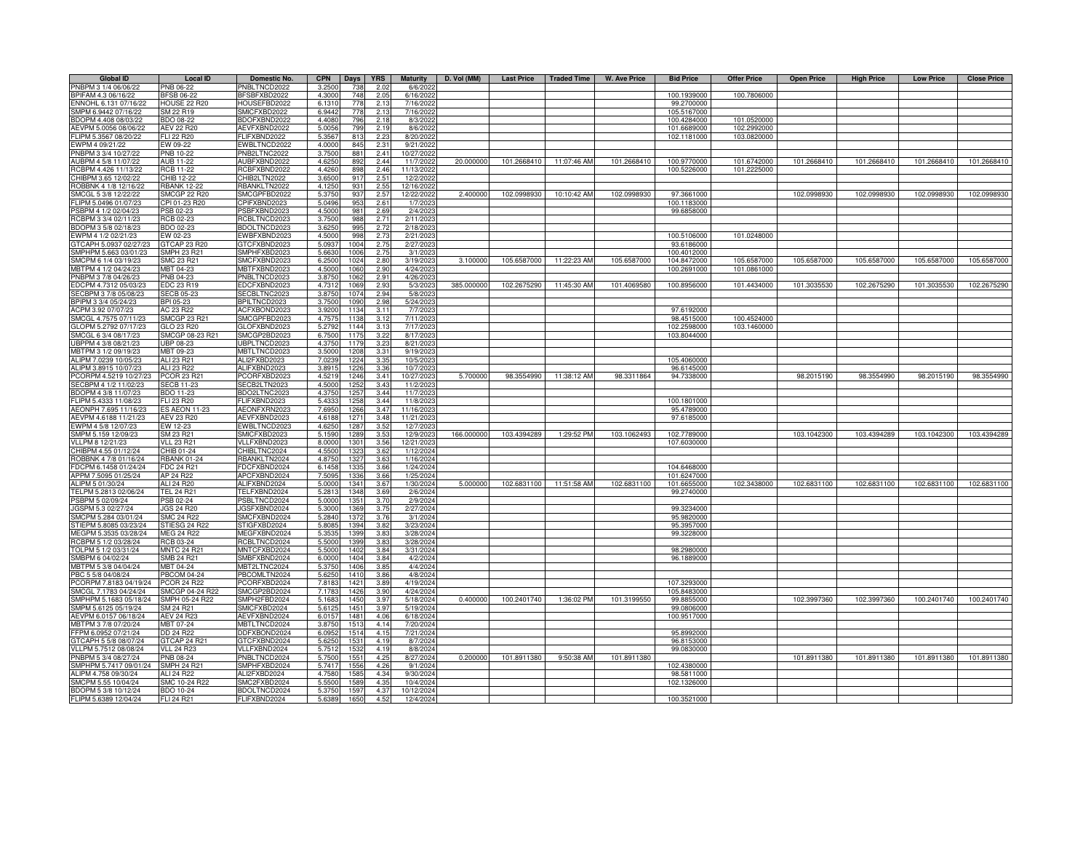| <b>Global ID</b>       | <b>Local ID</b>      | Domestic No. | <b>CPN</b> | Days             | <b>YRS</b> | <b>Maturity</b> | D. Vol (MM) | <b>Last Price</b> | <b>Traded Time</b> | W. Ave Price | <b>Bid Price</b> | <b>Offer Price</b> | <b>Open Price</b> | <b>High Price</b> | <b>Low Price</b> | <b>Close Price</b> |
|------------------------|----------------------|--------------|------------|------------------|------------|-----------------|-------------|-------------------|--------------------|--------------|------------------|--------------------|-------------------|-------------------|------------------|--------------------|
| PNBPM 3 1/4 06/06/22   | PNB 06-22            | PNBLTNCD2022 | 3.2500     | 738              | 2.02       | 6/6/2022        |             |                   |                    |              |                  |                    |                   |                   |                  |                    |
| BPIFAM 4.3 06/16/22    | <b>BFSB 06-22</b>    | BFSBFXBD2022 | 4.3000     | 748              | 2.05       | 6/16/2022       |             |                   |                    |              | 100.1939000      | 100.7806000        |                   |                   |                  |                    |
| ENNOHL 6.131 07/16/22  | <b>HOUSE 22 R20</b>  | HOUSEFBD2022 | 6.1310     | 778              | 2.13       | 7/16/2022       |             |                   |                    |              | 99.2700000       |                    |                   |                   |                  |                    |
| SMPM 6.9442 07/16/22   | SM 22 R19            | SMICFXBD2022 | 6.944      | 778              | 2.13       | 7/16/2022       |             |                   |                    |              | 105.5167000      |                    |                   |                   |                  |                    |
| BDOPM 4.408 08/03/22   | BDO 08-22            | BDOFXBND2022 | 4.4080     | 796              | 2.18       | 8/3/2022        |             |                   |                    |              | 100.4284000      | 101.0520000        |                   |                   |                  |                    |
| AEVPM 5.0056 08/06/22  | AEV 22 R20           | AEVFXBND2022 | 5.005      | 799              | 2.19       | 8/6/2022        |             |                   |                    |              | 101.6689000      | 102.2992000        |                   |                   |                  |                    |
| FLIPM 5.3567 08/20/22  | <b>FLI 22 R20</b>    | FLIFXBND2022 | 5.356      | 813              | 2.23       | 8/20/2022       |             |                   |                    |              | 102.1181000      | 103.0820000        |                   |                   |                  |                    |
| EWPM 4 09/21/22        | EW 09-22             | EWBLTNCD2022 | 4.0000     | 845              | 2.31       | 9/21/2022       |             |                   |                    |              |                  |                    |                   |                   |                  |                    |
| PNBPM 3 3/4 10/27/22   | PNB 10-22            | PNB2LTNC2022 | 3.750      | 881              | 2.41       | 10/27/2022      |             |                   |                    |              |                  |                    |                   |                   |                  |                    |
| AUBPM 4 5/8 11/07/22   | <b>AUB 11-22</b>     | AUBFXBND2022 | 4.625      | 892              | 2.44       | 11/7/2022       | 20.000000   | 101.2668410       | 11:07:46 AM        | 101.2668410  | 100.9770000      | 101.6742000        | 101.2668410       | 101.2668410       | 101.2668410      | 101.2668410        |
| CBPM 4.426 11/13/22    | <b>RCB 11-22</b>     | RCBFXBND2022 | 4.426      | 898              | 2.46       | 11/13/202       |             |                   |                    |              | 100.5226000      | 101.2225000        |                   |                   |                  |                    |
| HIBPM 3.65 12/02/22    | CHIB 12-22           | CHIB2LTN2022 | 3.650      | 917              | 2.51       | 12/2/202        |             |                   |                    |              |                  |                    |                   |                   |                  |                    |
| OBBNK 4 1/8 12/16/22   | <b>RBANK 12-22</b>   | RBANKLTN2022 | 4.1250     | 931              | 2.55       | 12/16/2022      |             |                   |                    |              |                  |                    |                   |                   |                  |                    |
| SMCGL 5 3/8 12/22/22   | <b>SMCGP 22 R20</b>  | SMCGPFBD2022 | 5.3750     | 937              | 2.57       | 12/22/2022      | 2.400000    | 102.0998930       | 10:10:42 AM        | 102.0998930  | 97.3661000       |                    | 102.0998930       | 102.0998930       | 102.0998930      | 102.0998930        |
| FLIPM 5.0496 01/07/23  | CPI 01-23 R20        | CPIFXBND2023 | 5.0496     | 953              | 2.61       | 1/7/2023        |             |                   |                    |              | 100.1183000      |                    |                   |                   |                  |                    |
| SBPM 4 1/2 02/04/23    | PSB 02-23            | PSBFXBND2023 | 4.5000     | 981              | 2.69       | 2/4/2023        |             |                   |                    |              | 99.6858000       |                    |                   |                   |                  |                    |
| RCBPM 3 3/4 02/11/23   | RCB 02-23            | RCBLTNCD2023 | 3.7500     | 988              | 2.71       | 2/11/2023       |             |                   |                    |              |                  |                    |                   |                   |                  |                    |
| BDOPM 3 5/8 02/18/23   | BDO 02-23            | BDOLTNCD2023 | 3.625      | 995              | 2.72       | 2/18/2023       |             |                   |                    |              |                  |                    |                   |                   |                  |                    |
| WPM 4 1/2 02/21/23     | EW 02-23             | EWBFXBND2023 | 4.500      | 998              | 2.73       | 2/21/2023       |             |                   |                    |              | 100.5106000      | 101.0248000        |                   |                   |                  |                    |
| TCAPH 5.0937 02/27/23  | GTCAP 23 R20         | GTCFXBND2023 | 5.093      | 1004             | 2.75       | 2/27/202        |             |                   |                    |              | 93.6186000       |                    |                   |                   |                  |                    |
| MPHPM 5.663 03/01/23   | SMPH 23 R21          | SMPHFXBD2023 | 5.663      | 100              | 2.75       | 3/1/2023        |             |                   |                    |              | 100.4012000      |                    |                   |                   |                  |                    |
| MCPM 6 1/4 03/19/23    | SMC 23 R21           | SMCFXBND2023 | 6.250      | 102 <sub>1</sub> | 2.80       | 3/19/202        | 3.10000     | 105.6587000       | 11:22:23 AM        | 105.6587000  | 104.8472000      | 105.6587000        | 105.6587000       | 105.6587000       | 105.6587000      | 105.6587000        |
| IBTPM 4 1/2 04/24/23   | MBT 04-23            | MBTFXBND2023 | 4.500      | 1060             | 2.90       | 4/24/2023       |             |                   |                    |              | 100.2691000      | 101.0861000        |                   |                   |                  |                    |
| NBPM 3 7/8 04/26/23    | PNB 04-23            | PNBLTNCD2023 | 3.875      | 106              | 2.91       | 4/26/202        |             |                   |                    |              |                  |                    |                   |                   |                  |                    |
| DCPM 4.7312 05/03/23   | EDC 23 R19           | EDCFXBND2023 | 4.731      | 106              | 2.93       | 5/3/202         | 385.000000  | 102.2675290       | 11:45:30 AM        | 101.4069580  | 100.8956000      | 101.4434000        | 101.3035530       | 102.2675290       | 101.3035530      | 102.2675290        |
| ECBPM 3 7/8 05/08/23   | SECB 05-23           | SECBLTNC2023 | 3.8750     | 1074             | 2.94       | 5/8/2023        |             |                   |                    |              |                  |                    |                   |                   |                  |                    |
| BPIPM 3 3/4 05/24/23   | BPI 05-23            | BPILTNCD2023 | 3.7500     | 1090             | 2.98       | 5/24/2023       |             |                   |                    |              |                  |                    |                   |                   |                  |                    |
| ACPM 3.92 07/07/23     | AC 23 R22            | ACFXBOND2023 | 3.920      | 1134             | 3.11       | 7/7/2023        |             |                   |                    |              | 97.6192000       |                    |                   |                   |                  |                    |
| MCGL 4.7575 07/11/23   | <b>SMCGP 23 R21</b>  | SMCGPFBD2023 | 4.757      | 113              | 3.12       | 7/11/2023       |             |                   |                    |              | 98.4515000       | 100.4524000        |                   |                   |                  |                    |
| GLOPM 5.2792 07/17/23  | GLO 23 R20           | GLOFXBND2023 | 5.279      | 1144             | 3.13       | 7/17/2023       |             |                   |                    |              | 102.2598000      | 103.1460000        |                   |                   |                  |                    |
| MCGL 6 3/4 08/17/23    | SMCGP 08-23 R21      | SMCGP2BD2023 | 6.750      | 117              | 3.22       | 8/17/202        |             |                   |                    |              | 103.8044000      |                    |                   |                   |                  |                    |
| UBPPM 4 3/8 08/21/23   | JBP 08-23            | UBPLTNCD2023 | 4.375      | 1179             | 3.23       | 8/21/202        |             |                   |                    |              |                  |                    |                   |                   |                  |                    |
| MBTPM 3 1/2 09/19/23   | <b>MBT 09-23</b>     | MBTLTNCD2023 | 3.500      | 1208             | 3.31       | 9/19/202        |             |                   |                    |              |                  |                    |                   |                   |                  |                    |
| ALIPM 7.0239 10/05/23  | ALI 23 R21           | ALI2FXBD2023 | 7.023      | 1224             | 3.35       | 10/5/202        |             |                   |                    |              | 105.4060000      |                    |                   |                   |                  |                    |
| ALIPM 3.8915 10/07/23  | ALI 23 R22           | ALIFXBND2023 | 3.891      | 1226             | 3.36       | 10/7/202        |             |                   |                    |              | 96.6145000       |                    |                   |                   |                  |                    |
| CORPM 4.5219 10/27/23  | <b>PCOR 23 R21</b>   | PCORFXBD2023 | 4.521      | 1246             | 3.41       | 10/27/2023      | 5.700000    | 98.3554990        | 11:38:12 AM        | 98.3311864   | 94.7338000       |                    | 98.2015190        | 98.3554990        | 98.2015190       | 98.3554990         |
| ECBPM 4 1/2 11/02/23   | <b>ECB 11-23</b>     | SECB2LTN2023 | 4.500      | 125              | 3.43       | 11/2/202        |             |                   |                    |              |                  |                    |                   |                   |                  |                    |
| DOPM 4 3/8 11/07/23    | 3DO 11-23            | BDO2LTNC2023 | 4.375      | 125              | 3.44       | 11/7/202        |             |                   |                    |              |                  |                    |                   |                   |                  |                    |
| LIPM 5.4333 11/08/23   | FLI 23 R20           | FLIFXBND2023 | 5.433      | 1258             | 3.44       | 11/8/2023       |             |                   |                    |              | 100.1801000      |                    |                   |                   |                  |                    |
| AEONPH 7.695 11/16/23  | <b>ES AEON 11-23</b> | AEONFXRN2023 | 7.6950     | 1266             | 3.47       | 11/16/202       |             |                   |                    |              | 95.4789000       |                    |                   |                   |                  |                    |
| AEVPM 4.6188 11/21/23  | <b>AEV 23 R20</b>    | AEVFXBND2023 | 4.618      | 1271             | 3.48       | 11/21/2023      |             |                   |                    |              | 97.6185000       |                    |                   |                   |                  |                    |
| WPM 4 5/8 12/07/23     | EW 12-23             | EWBLTNCD2023 | 4.625      | 1287             | 3.52       | 12/7/2023       |             |                   |                    |              |                  |                    |                   |                   |                  |                    |
| SMPM 5.159 12/09/23    | SM 23 R21            | SMICFXBD2023 | 5.1590     | 1289             | 3.53       | 12/9/2023       | 166,000000  | 103.4394289       | 1:29:52 PM         | 103.1062493  | 102.7789000      |                    | 103.1042300       | 103.4394289       | 103.1042300      | 103.4394289        |
| VLLPM 8 12/21/23       | <b>VLL 23 R21</b>    | VLLFXBND2023 | 8.000      | 1301             | 3.56       | 12/21/202       |             |                   |                    |              | 107.6030000      |                    |                   |                   |                  |                    |
| CHIBPM 4.55 01/12/24   | CHIB 01-24           | CHIBLTNC2024 | 4.550      | 132              | 3.62       | 1/12/2024       |             |                   |                    |              |                  |                    |                   |                   |                  |                    |
| OBBNK 4 7/8 01/16/24   | <b>RBANK 01-24</b>   | RBANKLTN2024 | 4.875      | 132              | 3.63       | 1/16/2024       |             |                   |                    |              |                  |                    |                   |                   |                  |                    |
| DCPM 6.1458 01/24/24   | FDC 24 R21           | FDCFXBND2024 | 6.145      | 133              | 3.66       | 1/24/2024       |             |                   |                    |              | 104.6468000      |                    |                   |                   |                  |                    |
| APPM 7.5095 01/25/24   | AP 24 R22            | APCFXBND2024 | 7.509      | 133              | 3.66       | 1/25/2024       |             |                   |                    |              | 101.6247000      |                    |                   |                   |                  |                    |
| ALIPM 5 01/30/24       | ALI 24 R20           | ALIFXBND2024 | 5.000      | 1341             | 3.67       | 1/30/2024       | 5.000000    | 102.6831100       | 11:51:58 AM        | 102.6831100  | 101.6655000      | 102.3438000        | 102.6831100       | 102.6831100       | 102.6831100      | 102.6831100        |
| TELPM 5.2813 02/06/24  | <b>TEL 24 R21</b>    | TELFXBND2024 | 5.281      | 1348             | 3.69       | 2/6/2024        |             |                   |                    |              | 99.2740000       |                    |                   |                   |                  |                    |
| SBPM 5 02/09/24        | PSB 02-24            | PSBLTNCD2024 | 5.000      | 1351             | 3.7(       | 2/9/2024        |             |                   |                    |              |                  |                    |                   |                   |                  |                    |
| JGSPM 5.3 02/27/24     | <b>JGS 24 R20</b>    | JGSFXBND2024 | 5.3000     | 1369             | 3.75       | 2/27/2024       |             |                   |                    |              | 99.3234000       |                    |                   |                   |                  |                    |
| SMCPM 5.284 03/01/24   | <b>SMC 24 R22</b>    | SMCFXBND2024 | 5.2840     | 1372             | 3.76       | 3/1/2024        |             |                   |                    |              | 95.9820000       |                    |                   |                   |                  |                    |
| TIEPM 5.8085 03/23/24  | STIESG 24 R22        | STIGFXBD2024 | 5.808      | 1394             | 3.82       | 3/23/2024       |             |                   |                    |              | 95.3957000       |                    |                   |                   |                  |                    |
| MEGPM 5.3535 03/28/24  | MEG 24 R22           | MEGFXBND2024 | 5.353      | 1399             | 3.83       | 3/28/2024       |             |                   |                    |              | 99.3228000       |                    |                   |                   |                  |                    |
| CBPM 5 1/2 03/28/24    | RCB 03-24            | RCBLTNCD2024 | 5.500      | 1399             | 3.83       | 3/28/2024       |             |                   |                    |              |                  |                    |                   |                   |                  |                    |
| TOLPM 5 1/2 03/31/24   | <b>MNTC 24 R21</b>   | MNTCFXBD2024 | 5.500      | 1402             | 3.84       | 3/31/2024       |             |                   |                    |              | 98.2980000       |                    |                   |                   |                  |                    |
| SMBPM 6 04/02/24       | SMB 24 R21           | SMBFXBND2024 | 6.000      | 1404             | 3.84       | 4/2/2024        |             |                   |                    |              | 96.1889000       |                    |                   |                   |                  |                    |
| MBTPM 5 3/8 04/04/24   | MBT 04-24            | MBT2LTNC2024 | 5.375      | 1406             | 3.85       | 4/4/2024        |             |                   |                    |              |                  |                    |                   |                   |                  |                    |
| PBC 5 5/8 04/08/24     | <b>PBCOM 04-24</b>   | PBCOMLTN2024 | 5.625      | 1410             | 3.86       | 4/8/2024        |             |                   |                    |              |                  |                    |                   |                   |                  |                    |
| PCORPM 7.8183 04/19/24 | <b>PCOR 24 R22</b>   | PCORFXBD2024 | 7.818      | 1421             | 3.89       | 4/19/2024       |             |                   |                    |              | 107.3293000      |                    |                   |                   |                  |                    |
| MCGL 7.1783 04/24/24   | SMCGP 04-24 R22      | SMCGP2BD2024 | 7.178      | 1426             | 3.90       | 4/24/2024       |             |                   |                    |              | 105.8483000      |                    |                   |                   |                  |                    |
| SMPHPM 5.1683 05/18/24 | SMPH 05-24 R22       | SMPH2FBD2024 | 5.168      | 1450             | 3.97       | 5/18/2024       | 0.40000     | 100.2401740       | 1:36:02 PM         | 101.3199550  | 99.8855000       |                    | 102.3997360       | 102.3997360       | 100.2401740      | 100.2401740        |
| SMPM 5.6125 05/19/24   | SM 24 R21            | SMICFXBD2024 | 5.612      | 1451             | 3.97       | 5/19/2024       |             |                   |                    |              | 99.0806000       |                    |                   |                   |                  |                    |
| AEVPM 6.0157 06/18/24  | <b>AEV 24 R23</b>    | AEVFXBND2024 | 6.015      | 1481             | 4.06       | 6/18/2024       |             |                   |                    |              | 100.9517000      |                    |                   |                   |                  |                    |
| MBTPM 3 7/8 07/20/24   | MBT 07-24            | MBTLTNCD2024 | 3.875      | 151              | 4.14       | 7/20/2024       |             |                   |                    |              |                  |                    |                   |                   |                  |                    |
| FFPM 6.0952 07/21/24   | DD 24 R22            | DDFXBOND2024 | 6.095      | $151-$           | 4.15       | 7/21/2024       |             |                   |                    |              | 95.8992000       |                    |                   |                   |                  |                    |
| GTCAPH 5 5/8 08/07/24  | GTCAP 24 R21         | GTCFXBND2024 | 5.625      | 153              | 4.19       | 8/7/2024        |             |                   |                    |              | 96.8153000       |                    |                   |                   |                  |                    |
| VLLPM 5.7512 08/08/24  | <b>VLL 24 R23</b>    | VLLFXBND2024 | 5.751      | 153              | 4.19       | 8/8/2024        |             |                   |                    |              | 99.0830000       |                    |                   |                   |                  |                    |
| NBPM 5 3/4 08/27/24    | <b>PNB 08-24</b>     | PNBLTNCD2024 | 5.750      | 155              | 4.25       | 8/27/2024       | 0.200000    | 101.8911380       | 9:50:38 AM         | 101.8911380  |                  |                    | 101.8911380       | 101.8911380       | 101.8911380      | 101.8911380        |
| MPHPM 5.7417 09/01/24  | SMPH 24 R21          | SMPHFXBD2024 | 5.741      | 155              | 4.26       | 9/1/2024        |             |                   |                    |              | 102.4380000      |                    |                   |                   |                  |                    |
| ALIPM 4.758 09/30/24   | ALI 24 R22           | ALI2FXBD2024 | 4.758      | 158              | 4.34       | 9/30/2024       |             |                   |                    |              | 98.5811000       |                    |                   |                   |                  |                    |
| MCPM 5.55 10/04/24     | SMC 10-24 R22        | SMC2FXBD2024 | 5.550      | 158              | 4.35       | 10/4/2024       |             |                   |                    |              | 102.1326000      |                    |                   |                   |                  |                    |
| BDOPM 5 3/8 10/12/24   | <b>BDO 10-24</b>     | BDOLTNCD2024 | 5.375      | 159              | 4.37       | 10/12/2024      |             |                   |                    |              |                  |                    |                   |                   |                  |                    |
| FLIPM 5.6389 12/04/24  | <b>FLI 24 R21</b>    | FLIFXBND2024 | 5.638      | 165              | 4.52       | 12/4/2024       |             |                   |                    |              | 100.3521000      |                    |                   |                   |                  |                    |